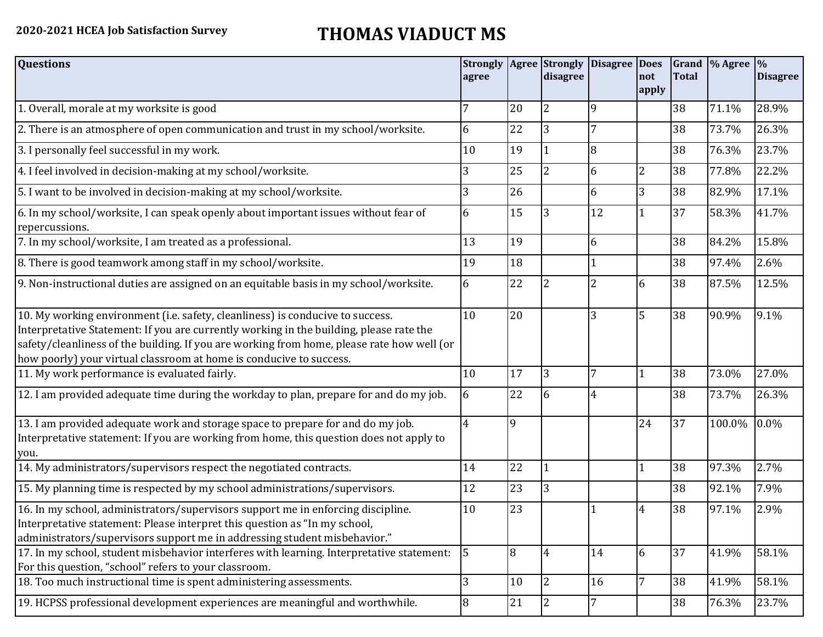## **2020-2021 HCEA Job Satisfaction Survey THOMAS VIADUCT MS**

| <b>Questions</b>                                                                                                                                                                                                                                                                                                                               | <b>Strongly</b><br>agree |              | <b>Agree</b> Strongly<br>disagree | <b>Disagree Does</b> | not            | <b>Total</b> | Grand  % Agree  % | <b>Disagree</b> |
|------------------------------------------------------------------------------------------------------------------------------------------------------------------------------------------------------------------------------------------------------------------------------------------------------------------------------------------------|--------------------------|--------------|-----------------------------------|----------------------|----------------|--------------|-------------------|-----------------|
|                                                                                                                                                                                                                                                                                                                                                |                          |              |                                   |                      | apply          |              |                   |                 |
| 1. Overall, morale at my worksite is good                                                                                                                                                                                                                                                                                                      |                          | 20           | $\overline{2}$                    | 9                    |                | 38           | 71.1%             | 28.9%           |
| 2. There is an atmosphere of open communication and trust in my school/worksite.                                                                                                                                                                                                                                                               | 6                        | 22           | 3                                 | 7                    |                | 38           | 73.7%             | 26.3%           |
| 3. I personally feel successful in my work.                                                                                                                                                                                                                                                                                                    | 10                       | 19           | $\mathbf{1}$                      | 8                    |                | 38           | 76.3%             | 23.7%           |
| 4. I feel involved in decision-making at my school/worksite.                                                                                                                                                                                                                                                                                   | 3                        | 25           | $\overline{2}$                    | 6                    | $\overline{2}$ | 38           | 77.8%             | 22.2%           |
| 5. I want to be involved in decision-making at my school/worksite.                                                                                                                                                                                                                                                                             | 3                        | 26           |                                   | 6                    | 3              | 38           | 82.9%             | 17.1%           |
| 6. In my school/worksite, I can speak openly about important issues without fear of<br>repercussions.                                                                                                                                                                                                                                          | 6                        | 15           | 3                                 | 12                   |                | 37           | 58.3%             | 41.7%           |
| 7. In my school/worksite, I am treated as a professional.                                                                                                                                                                                                                                                                                      | 13                       | 19           |                                   | 6                    |                | 38           | 84.2%             | 15.8%           |
| 8. There is good teamwork among staff in my school/worksite.                                                                                                                                                                                                                                                                                   | 19                       | 18           |                                   |                      |                | 38           | 97.4%             | 2.6%            |
| 9. Non-instructional duties are assigned on an equitable basis in my school/worksite.                                                                                                                                                                                                                                                          | 6                        | 22           | $\overline{2}$                    | 2                    | 6              | 38           | 87.5%             | 12.5%           |
| 10. My working environment (i.e. safety, cleanliness) is conducive to success.<br>Interpretative Statement: If you are currently working in the building, please rate the<br>safety/cleanliness of the building. If you are working from home, please rate how well (or<br>how poorly) your virtual classroom at home is conducive to success. | 10                       | 20           |                                   | 3                    | 5              | 38           | 90.9%             | 9.1%            |
| 11. My work performance is evaluated fairly.                                                                                                                                                                                                                                                                                                   | 10                       | 17           | $\overline{3}$                    | 7                    |                | 38           | 73.0%             | 27.0%           |
| 12. I am provided adequate time during the workday to plan, prepare for and do my job.                                                                                                                                                                                                                                                         | 6                        | 22           | 6                                 | 4                    |                | 38           | 73.7%             | 26.3%           |
| 13. I am provided adequate work and storage space to prepare for and do my job.<br>Interpretative statement: If you are working from home, this question does not apply to<br>you.                                                                                                                                                             | 4                        | $\mathbf{q}$ |                                   |                      | 24             | 37           | 100.0%            | 0.0%            |
| 14. My administrators/supervisors respect the negotiated contracts.                                                                                                                                                                                                                                                                            | 14                       | 22           |                                   |                      |                | 38           | 97.3%             | 2.7%            |
| 15. My planning time is respected by my school administrations/supervisors.                                                                                                                                                                                                                                                                    | 12                       | 23           | 3                                 |                      |                | 38           | 92.1%             | 7.9%            |
| 16. In my school, administrators/supervisors support me in enforcing discipline.<br>Interpretative statement: Please interpret this question as "In my school,<br>administrators/supervisors support me in addressing student misbehavior."                                                                                                    | 10                       | 23           |                                   |                      | 4              | 38           | 97.1%             | 2.9%            |
| 17. In my school, student misbehavior interferes with learning. Interpretative statement:<br>For this question, "school" refers to your classroom.                                                                                                                                                                                             | 5                        | 8            | $\overline{4}$                    | 14                   | 6              | 37           | 41.9%             | 58.1%           |
| 18. Too much instructional time is spent administering assessments.                                                                                                                                                                                                                                                                            | 3                        | 10           | 12                                | 16                   | 7              | 38           | 41.9%             | 58.1%           |
| 19. HCPSS professional development experiences are meaningful and worthwhile.                                                                                                                                                                                                                                                                  | 8                        | 21           | 12                                | 7                    |                | 38           | 76.3%             | 23.7%           |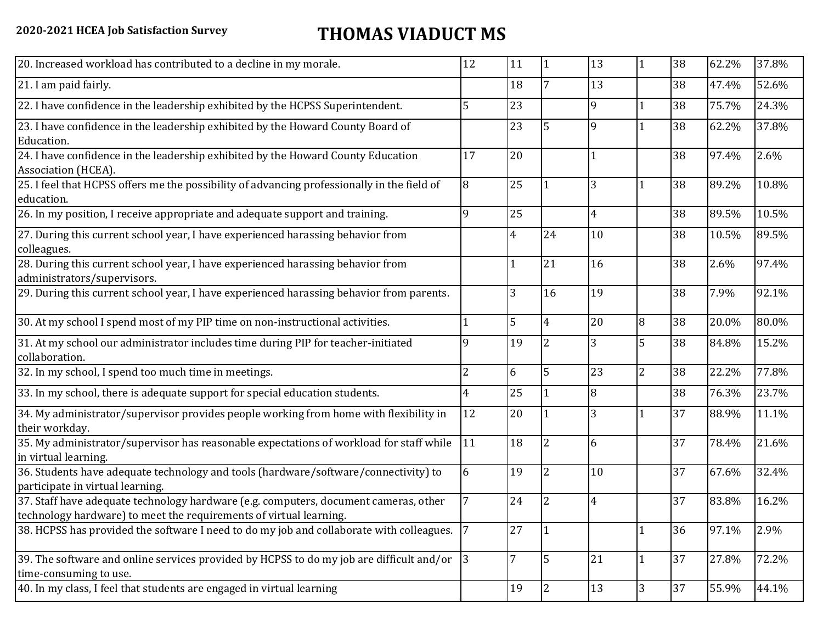## **2020-2021 HCEA Job Satisfaction Survey THOMAS VIADUCT MS**

| 12 | 11                                                                                                                                                                                                                                                                                | 1              | 13             |                | 38 | 62.2% | 37.8% |
|----|-----------------------------------------------------------------------------------------------------------------------------------------------------------------------------------------------------------------------------------------------------------------------------------|----------------|----------------|----------------|----|-------|-------|
|    | 18                                                                                                                                                                                                                                                                                | 7              | 13             |                | 38 | 47.4% | 52.6% |
| 5  | 23                                                                                                                                                                                                                                                                                |                | 9              |                | 38 | 75.7% | 24.3% |
|    | 23                                                                                                                                                                                                                                                                                | 5              | 9              |                | 38 | 62.2% | 37.8% |
| 17 | 20                                                                                                                                                                                                                                                                                |                |                |                | 38 | 97.4% | 2.6%  |
| 8  | 25                                                                                                                                                                                                                                                                                |                | 3              |                | 38 | 89.2% | 10.8% |
| q  | 25                                                                                                                                                                                                                                                                                |                | 4              |                | 38 | 89.5% | 10.5% |
|    | 4                                                                                                                                                                                                                                                                                 | 24             | 10             |                | 38 | 10.5% | 89.5% |
|    | 1                                                                                                                                                                                                                                                                                 | 21             | 16             |                | 38 | 2.6%  | 97.4% |
|    | 3                                                                                                                                                                                                                                                                                 | 16             | 19             |                | 38 | 7.9%  | 92.1% |
|    | 5                                                                                                                                                                                                                                                                                 | $\overline{4}$ | 20             | 8              | 38 | 20.0% | 80.0% |
| 9  | 19                                                                                                                                                                                                                                                                                | $\overline{2}$ | 3              | 5              | 38 | 84.8% | 15.2% |
| 2  | 6                                                                                                                                                                                                                                                                                 | 5              | 23             | $\overline{2}$ | 38 | 22.2% | 77.8% |
| 4  | 25                                                                                                                                                                                                                                                                                |                | 8              |                | 38 | 76.3% | 23.7% |
| 12 | 20                                                                                                                                                                                                                                                                                |                | 3              |                | 37 | 88.9% | 11.1% |
| 11 | 18                                                                                                                                                                                                                                                                                | $\overline{2}$ | 6              |                | 37 | 78.4% | 21.6% |
| 6  | 19                                                                                                                                                                                                                                                                                | 2              | 10             |                | 37 | 67.6% | 32.4% |
|    | 24                                                                                                                                                                                                                                                                                | 2              | $\overline{4}$ |                | 37 | 83.8% | 16.2% |
|    | 27                                                                                                                                                                                                                                                                                |                |                |                | 36 | 97.1% | 2.9%  |
| 3  | 7                                                                                                                                                                                                                                                                                 | 5              | 21             |                | 37 | 27.8% | 72.2% |
|    | 19                                                                                                                                                                                                                                                                                | $\overline{2}$ | 13             | 3              | 37 | 55.9% | 44.1% |
|    | 35. My administrator/supervisor has reasonable expectations of workload for staff while<br>38. HCPSS has provided the software I need to do my job and collaborate with colleagues. 7<br>39. The software and online services provided by HCPSS to do my job are difficult and/or |                |                |                |    |       |       |